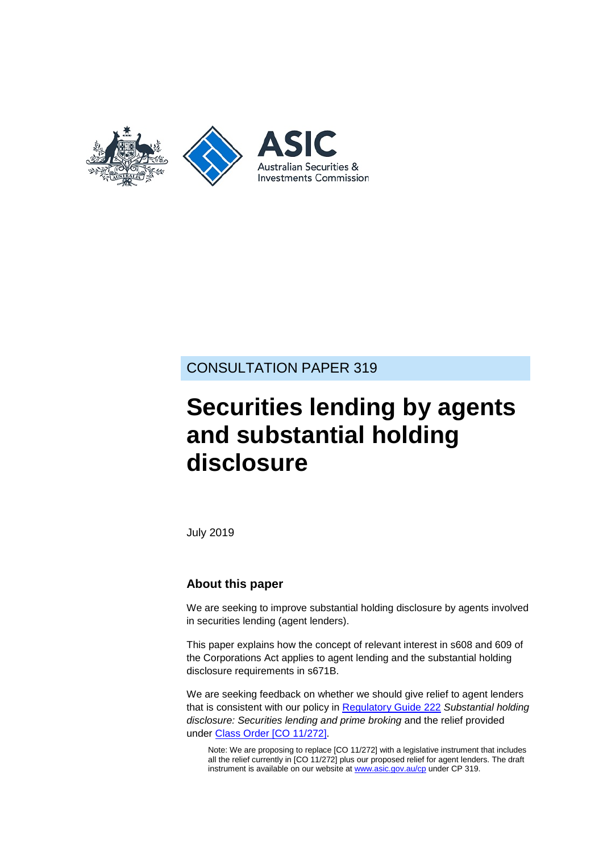

## CONSULTATION PAPER 319

# **Securities lending by agents and substantial holding disclosure**

July 2019

#### **About this paper**

We are seeking to improve substantial holding disclosure by agents involved in securities lending (agent lenders).

This paper explains how the concept of relevant interest in s608 and 609 of the Corporations Act applies to agent lending and the substantial holding disclosure requirements in s671B.

We are seeking feedback on whether we should give relief to agent lenders that is consistent with our policy in [Regulatory Guide 222](https://asic.gov.au/regulatory-resources/find-a-document/regulatory-guides/rg-222-substantial-holding-disclosure-securities-lending-and-prime-broking/) *Substantial holding disclosure: Securities lending and prime broking* and the relief provided under [Class Order \[CO](https://www.legislation.gov.au/Details/F2017C00227) 11/272].

Note: We are proposing to replace [CO 11/272] with a legislative instrument that includes all the relief currently in [CO 11/272] plus our proposed relief for agent lenders. The draft instrument is available on our website at [www.asic.gov.au/cp](http://www.asic.gov.au/regulatory-resources/find-a-document/consultation-papers/) under CP 319.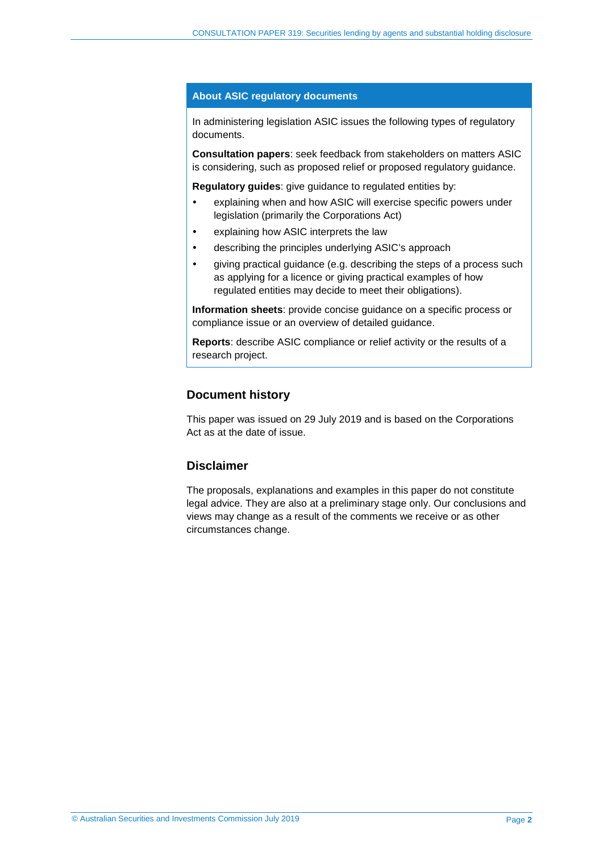#### **About ASIC regulatory documents**

In administering legislation ASIC issues the following types of regulatory documents.

**Consultation papers**: seek feedback from stakeholders on matters ASIC is considering, such as proposed relief or proposed regulatory guidance.

**Regulatory guides**: give guidance to regulated entities by:

- explaining when and how ASIC will exercise specific powers under legislation (primarily the Corporations Act)
- explaining how ASIC interprets the law
- describing the principles underlying ASIC's approach
- giving practical guidance (e.g. describing the steps of a process such as applying for a licence or giving practical examples of how regulated entities may decide to meet their obligations).

**Information sheets**: provide concise guidance on a specific process or compliance issue or an overview of detailed guidance.

**Reports**: describe ASIC compliance or relief activity or the results of a research project.

#### **Document history**

This paper was issued on 29 July 2019 and is based on the Corporations Act as at the date of issue.

#### **Disclaimer**

The proposals, explanations and examples in this paper do not constitute legal advice. They are also at a preliminary stage only. Our conclusions and views may change as a result of the comments we receive or as other circumstances change.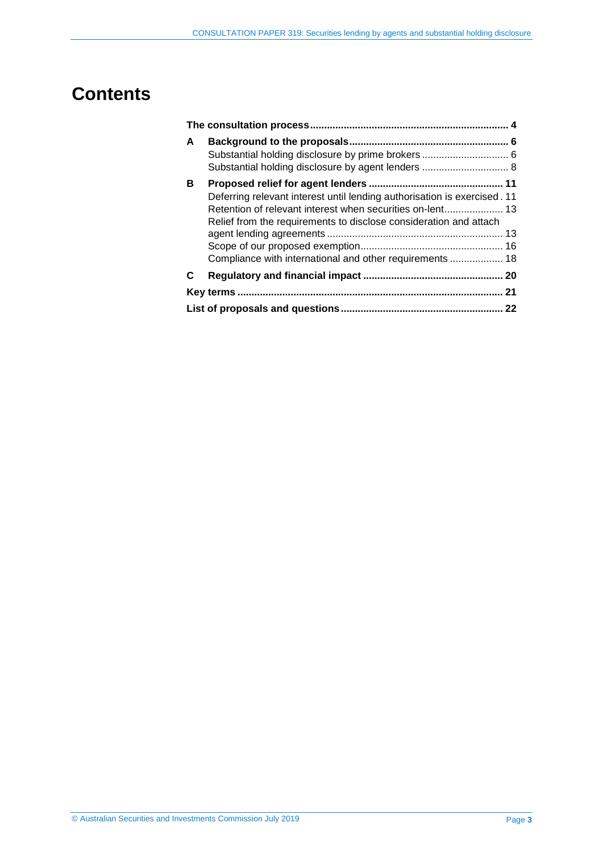## **Contents**

| A | Substantial holding disclosure by agent lenders  8                                                                                                                                                        |  |  |  |  |
|---|-----------------------------------------------------------------------------------------------------------------------------------------------------------------------------------------------------------|--|--|--|--|
| в | Deferring relevant interest until lending authorisation is exercised. 11<br>Relief from the requirements to disclose consideration and attach<br>Compliance with international and other requirements  18 |  |  |  |  |
| C |                                                                                                                                                                                                           |  |  |  |  |
|   |                                                                                                                                                                                                           |  |  |  |  |
|   | 22                                                                                                                                                                                                        |  |  |  |  |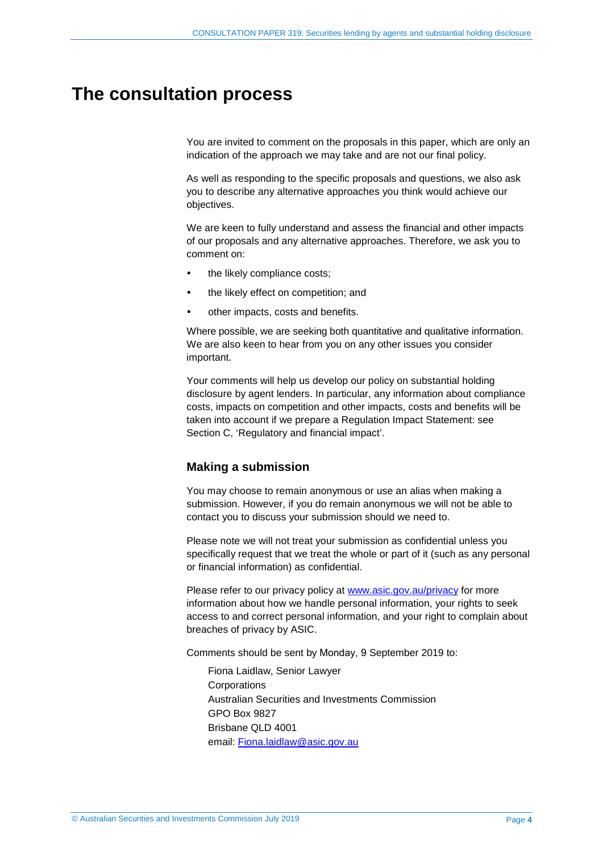## <span id="page-3-1"></span><span id="page-3-0"></span>**The consultation process**

You are invited to comment on the proposals in this paper, which are only an indication of the approach we may take and are not our final policy.

As well as responding to the specific proposals and questions, we also ask you to describe any alternative approaches you think would achieve our objectives.

We are keen to fully understand and assess the financial and other impacts of our proposals and any alternative approaches. Therefore, we ask you to comment on:

- the likely compliance costs;
- the likely effect on competition; and
- other impacts, costs and benefits.

Where possible, we are seeking both quantitative and qualitative information. We are also keen to hear from you on any other issues you consider important.

Your comments will help us develop our policy on substantial holding disclosure by agent lenders. In particular, any information about compliance costs, impacts on competition and other impacts, costs and benefits will be taken into account if we prepare a Regulation Impact Statement: see Section [C,](#page-19-0) 'Regulatory and financial impact'.

#### **Making a submission**

You may choose to remain anonymous or use an alias when making a submission. However, if you do remain anonymous we will not be able to contact you to discuss your submission should we need to.

Please note we will not treat your submission as confidential unless you specifically request that we treat the whole or part of it (such as any personal or financial information) as confidential.

Please refer to our privacy policy at [www.asic.gov.au/privacy](http://www.asic.gov.au/privacy) for more information about how we handle personal information, your rights to seek access to and correct personal information, and your right to complain about breaches of privacy by ASIC.

Comments should be sent by Monday, 9 September 2019 to:

Fiona Laidlaw, Senior Lawyer **Corporations** Australian Securities and Investments Commission GPO Box 9827 Brisbane QLD 4001 email: [Fiona.laidlaw@asic.gov.au](mailto:Fiona.laidlaw@asic.gov.au)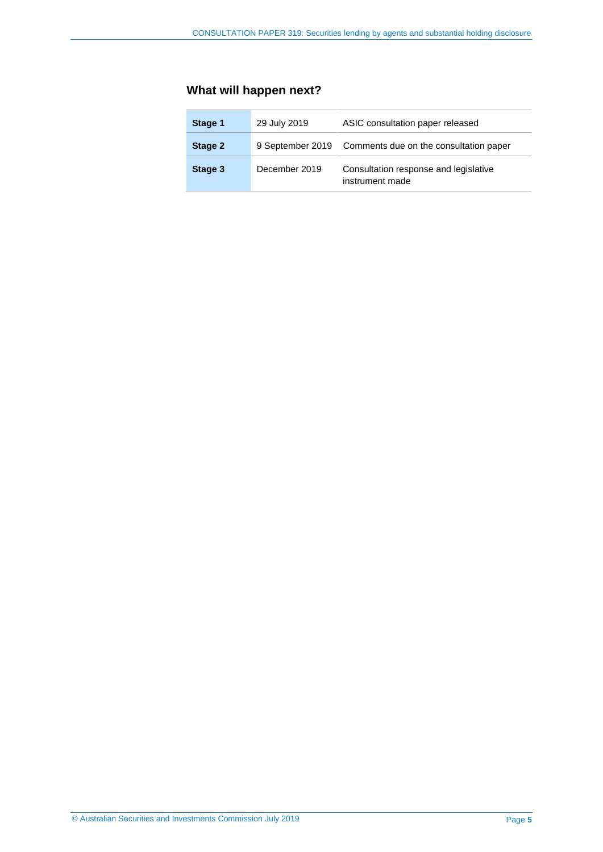## **What will happen next?**

| Stage 1 | 29 July 2019  | ASIC consultation paper released                         |  |  |  |  |
|---------|---------------|----------------------------------------------------------|--|--|--|--|
| Stage 2 |               | 9 September 2019 Comments due on the consultation paper  |  |  |  |  |
| Stage 3 | December 2019 | Consultation response and legislative<br>instrument made |  |  |  |  |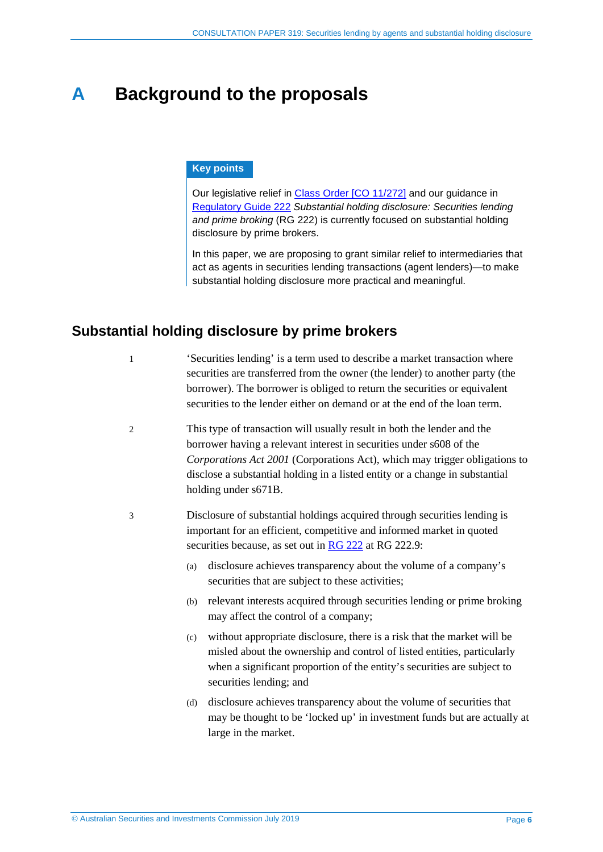## <span id="page-5-0"></span>**A Background to the proposals**

#### **Key points**

Our legislative relief in [Class Order \[CO](https://www.legislation.gov.au/Details/F2017C00227) 11/272] and our guidance in [Regulatory Guide 222](https://asic.gov.au/regulatory-resources/find-a-document/regulatory-guides/rg-222-substantial-holding-disclosure-securities-lending-and-prime-broking/) *Substantial holding disclosure: Securities lending and prime broking* (RG 222) is currently focused on substantial holding disclosure by prime brokers.

In this paper, we are proposing to grant similar relief to intermediaries that act as agents in securities lending transactions (agent lenders)—to make substantial holding disclosure more practical and meaningful.

### <span id="page-5-1"></span>**Substantial holding disclosure by prime brokers**

1 'Securities lending' is a term used to describe a market transaction where securities are transferred from the owner (the lender) to another party (the borrower). The borrower is obliged to return the securities or equivalent securities to the lender either on demand or at the end of the loan term.

- 2 This type of transaction will usually result in both the lender and the borrower having a relevant interest in securities under s608 of the *Corporations Act 2001* (Corporations Act), which may trigger obligations to disclose a substantial holding in a listed entity or a change in substantial holding under s671B.
- 3 Disclosure of substantial holdings acquired through securities lending is important for an efficient, competitive and informed market in quoted securities because, as set out in RG [222](https://asic.gov.au/regulatory-resources/find-a-document/regulatory-guides/rg-222-substantial-holding-disclosure-securities-lending-and-prime-broking/) at RG 222.9:
	- (a) disclosure achieves transparency about the volume of a company's securities that are subject to these activities;
	- (b) relevant interests acquired through securities lending or prime broking may affect the control of a company;
	- (c) without appropriate disclosure, there is a risk that the market will be misled about the ownership and control of listed entities, particularly when a significant proportion of the entity's securities are subject to securities lending; and
	- (d) disclosure achieves transparency about the volume of securities that may be thought to be 'locked up' in investment funds but are actually at large in the market.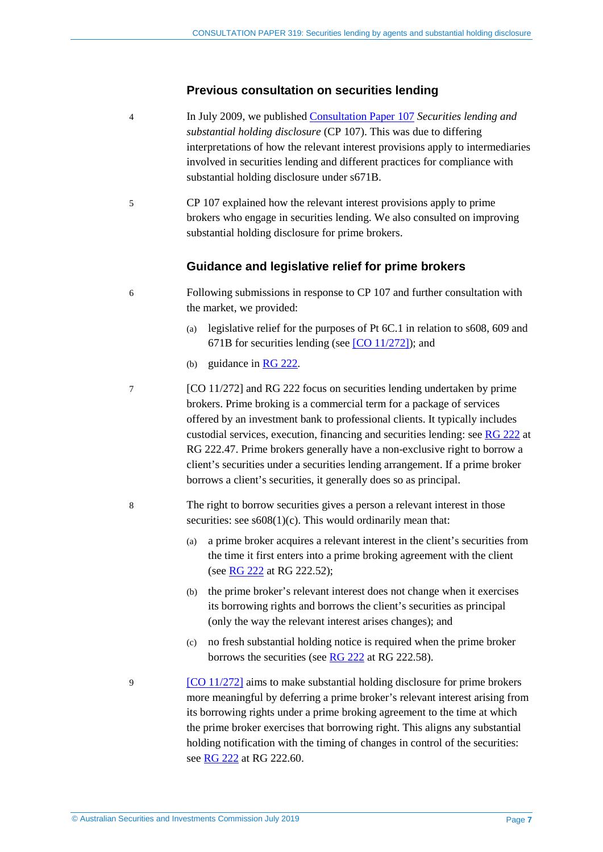#### **Previous consultation on securities lending**

- 4 In July 2009, we published [Consultation Paper 107](https://asic.gov.au/regulatory-resources/find-a-document/consultation-papers/cp-107-securities-lending-and-substantial-holding-disclosure/) *Securities lending and substantial holding disclosure* (CP 107). This was due to differing interpretations of how the relevant interest provisions apply to intermediaries involved in securities lending and different practices for compliance with substantial holding disclosure under s671B.
- 5 CP 107 explained how the relevant interest provisions apply to prime brokers who engage in securities lending. We also consulted on improving substantial holding disclosure for prime brokers.

#### **Guidance and legislative relief for prime brokers**

- 6 Following submissions in response to CP 107 and further consultation with the market, we provided:
	- (a) legislative relief for the purposes of Pt 6C.1 in relation to s608, 609 and 671B for securities lending (see [CO [11/272\]\)](https://www.legislation.gov.au/Details/F2017C00227); and
	- (b) guidance in [RG 222](https://asic.gov.au/regulatory-resources/find-a-document/regulatory-guides/rg-222-substantial-holding-disclosure-securities-lending-and-prime-broking/)*.*
- 7 [CO 11/272] and RG 222 focus on securities lending undertaken by prime brokers. Prime broking is a commercial term for a package of services offered by an investment bank to professional clients. It typically includes custodial services, execution, financing and securities lending: see [RG 222](https://asic.gov.au/regulatory-resources/find-a-document/regulatory-guides/rg-222-substantial-holding-disclosure-securities-lending-and-prime-broking/) at RG 222.47. Prime brokers generally have a non-exclusive right to borrow a client's securities under a securities lending arrangement. If a prime broker borrows a client's securities, it generally does so as principal.
- 8 The right to borrow securities gives a person a relevant interest in those securities: see  $s608(1)(c)$ . This would ordinarily mean that:
	- (a) a prime broker acquires a relevant interest in the client's securities from the time it first enters into a prime broking agreement with the client (see [RG 222](https://asic.gov.au/regulatory-resources/find-a-document/regulatory-guides/rg-222-substantial-holding-disclosure-securities-lending-and-prime-broking/) at RG 222.52);
	- (b) the prime broker's relevant interest does not change when it exercises its borrowing rights and borrows the client's securities as principal (only the way the relevant interest arises changes); and
	- (c) no fresh substantial holding notice is required when the prime broker borrows the securities (see [RG 222](https://asic.gov.au/regulatory-resources/find-a-document/regulatory-guides/rg-222-substantial-holding-disclosure-securities-lending-and-prime-broking/) at RG 222.58).
- 9 [\[CO 11/272\]](https://www.legislation.gov.au/Details/F2017C00227) aims to make substantial holding disclosure for prime brokers more meaningful by deferring a prime broker's relevant interest arising from its borrowing rights under a prime broking agreement to the time at which the prime broker exercises that borrowing right. This aligns any substantial holding notification with the timing of changes in control of the securities: see [RG 222](https://asic.gov.au/regulatory-resources/find-a-document/regulatory-guides/rg-222-substantial-holding-disclosure-securities-lending-and-prime-broking/) at RG 222.60.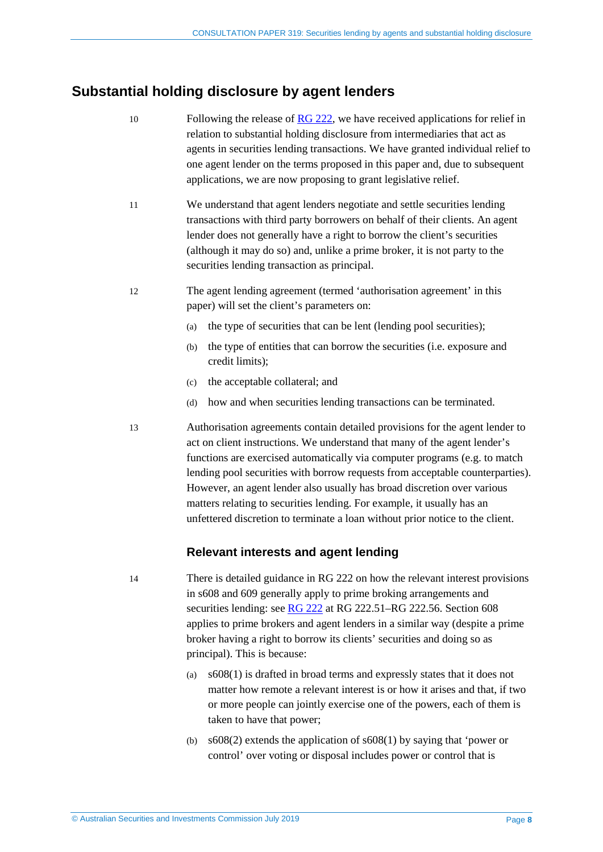### <span id="page-7-0"></span>**Substantial holding disclosure by agent lenders**

- 10 Following the release of [RG 222,](https://asic.gov.au/regulatory-resources/find-a-document/regulatory-guides/rg-222-substantial-holding-disclosure-securities-lending-and-prime-broking/) we have received applications for relief in relation to substantial holding disclosure from intermediaries that act as agents in securities lending transactions. We have granted individual relief to one agent lender on the terms proposed in this paper and, due to subsequent applications, we are now proposing to grant legislative relief.
- 11 We understand that agent lenders negotiate and settle securities lending transactions with third party borrowers on behalf of their clients. An agent lender does not generally have a right to borrow the client's securities (although it may do so) and, unlike a prime broker, it is not party to the securities lending transaction as principal.
- <span id="page-7-1"></span>12 The agent lending agreement (termed 'authorisation agreement' in this paper) will set the client's parameters on:
	- (a) the type of securities that can be lent (lending pool securities);
	- (b) the type of entities that can borrow the securities (i.e. exposure and credit limits);
	- (c) the acceptable collateral; and
	- (d) how and when securities lending transactions can be terminated.

<span id="page-7-2"></span>13 Authorisation agreements contain detailed provisions for the agent lender to act on client instructions. We understand that many of the agent lender's functions are exercised automatically via computer programs (e.g. to match lending pool securities with borrow requests from acceptable counterparties). However, an agent lender also usually has broad discretion over various matters relating to securities lending. For example, it usually has an unfettered discretion to terminate a loan without prior notice to the client.

#### **Relevant interests and agent lending**

14 There is detailed guidance in RG 222 on how the relevant interest provisions in s608 and 609 generally apply to prime broking arrangements and securities lending: see [RG 222](https://asic.gov.au/regulatory-resources/find-a-document/regulatory-guides/rg-222-substantial-holding-disclosure-securities-lending-and-prime-broking/) at RG 222.51–RG 222.56. Section 608 applies to prime brokers and agent lenders in a similar way (despite a prime broker having a right to borrow its clients' securities and doing so as principal). This is because:

- (a) s608(1) is drafted in broad terms and expressly states that it does not matter how remote a relevant interest is or how it arises and that, if two or more people can jointly exercise one of the powers, each of them is taken to have that power;
- (b) s608(2) extends the application of s608(1) by saying that 'power or control' over voting or disposal includes power or control that is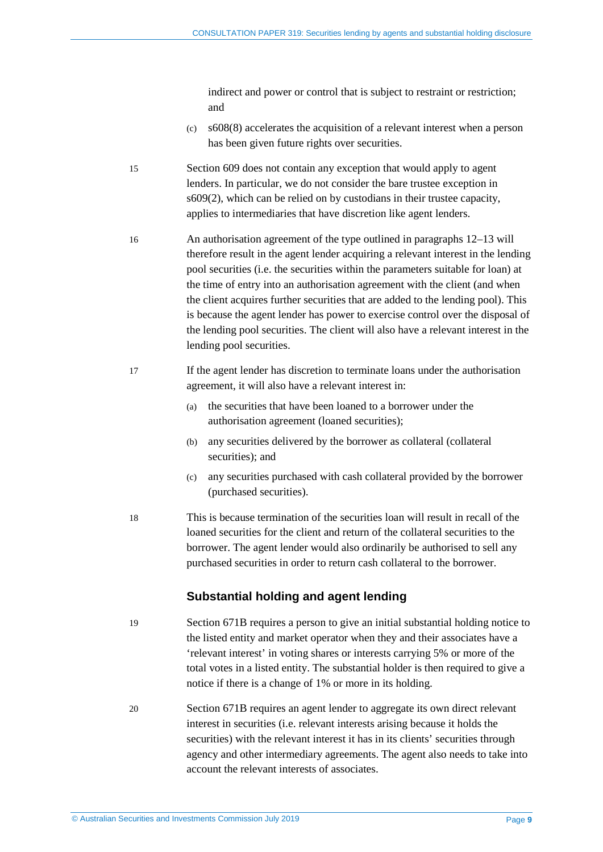indirect and power or control that is subject to restraint or restriction; and

- (c) s608(8) accelerates the acquisition of a relevant interest when a person has been given future rights over securities.
- 15 Section 609 does not contain any exception that would apply to agent lenders. In particular, we do not consider the bare trustee exception in s609(2), which can be relied on by custodians in their trustee capacity, applies to intermediaries that have discretion like agent lenders.
- <span id="page-8-0"></span>16 An authorisation agreement of the type outlined in paragraphs [12](#page-7-1)[–13](#page-7-2) will therefore result in the agent lender acquiring a relevant interest in the lending pool securities (i.e. the securities within the parameters suitable for loan) at the time of entry into an authorisation agreement with the client (and when the client acquires further securities that are added to the lending pool). This is because the agent lender has power to exercise control over the disposal of the lending pool securities. The client will also have a relevant interest in the lending pool securities.
- 17 If the agent lender has discretion to terminate loans under the authorisation agreement, it will also have a relevant interest in:
	- (a) the securities that have been loaned to a borrower under the authorisation agreement (loaned securities);
	- (b) any securities delivered by the borrower as collateral (collateral securities); and
	- (c) any securities purchased with cash collateral provided by the borrower (purchased securities).
- 18 This is because termination of the securities loan will result in recall of the loaned securities for the client and return of the collateral securities to the borrower. The agent lender would also ordinarily be authorised to sell any purchased securities in order to return cash collateral to the borrower.

#### **Substantial holding and agent lending**

- 19 Section 671B requires a person to give an initial substantial holding notice to the listed entity and market operator when they and their associates have a 'relevant interest' in voting shares or interests carrying 5% or more of the total votes in a listed entity. The substantial holder is then required to give a notice if there is a change of 1% or more in its holding.
- 20 Section 671B requires an agent lender to aggregate its own direct relevant interest in securities (i.e. relevant interests arising because it holds the securities) with the relevant interest it has in its clients' securities through agency and other intermediary agreements. The agent also needs to take into account the relevant interests of associates.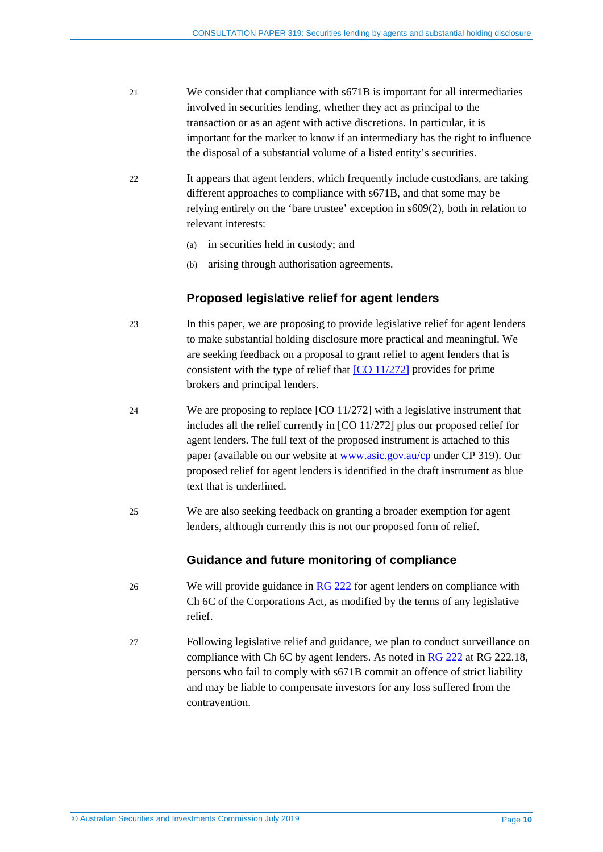- 21 We consider that compliance with s671B is important for all intermediaries involved in securities lending, whether they act as principal to the transaction or as an agent with active discretions. In particular, it is important for the market to know if an intermediary has the right to influence the disposal of a substantial volume of a listed entity's securities.
- 22 It appears that agent lenders, which frequently include custodians, are taking different approaches to compliance with s671B, and that some may be relying entirely on the 'bare trustee' exception in s609(2), both in relation to relevant interests:
	- (a) in securities held in custody; and
	- (b) arising through authorisation agreements.

#### **Proposed legislative relief for agent lenders**

- 23 In this paper, we are proposing to provide legislative relief for agent lenders to make substantial holding disclosure more practical and meaningful. We are seeking feedback on a proposal to grant relief to agent lenders that is consistent with the type of relief that [\[CO 11/272\]](https://www.legislation.gov.au/Details/F2017C00227) provides for prime brokers and principal lenders.
- 24 We are proposing to replace [CO 11/272] with a legislative instrument that includes all the relief currently in [CO 11/272] plus our proposed relief for agent lenders. The full text of the proposed instrument is attached to this paper (available on our website at [www.asic.gov.au/cp](http://www.asic.gov.au/regulatory-resources/find-a-document/consultation-papers/) under CP 319). Our proposed relief for agent lenders is identified in the draft instrument as blue text that is underlined.
- 25 We are also seeking feedback on granting a broader exemption for agent lenders, although currently this is not our proposed form of relief.

#### **Guidance and future monitoring of compliance**

- 26 We will provide guidance in  $\overline{RG}$  222 for agent lenders on compliance with Ch 6C of the Corporations Act, as modified by the terms of any legislative relief.
- 27 Following legislative relief and guidance, we plan to conduct surveillance on compliance with Ch 6C by agent lenders. As noted in [RG 222](https://asic.gov.au/regulatory-resources/find-a-document/regulatory-guides/rg-222-substantial-holding-disclosure-securities-lending-and-prime-broking/) at RG 222.18, persons who fail to comply with s671B commit an offence of strict liability and may be liable to compensate investors for any loss suffered from the contravention.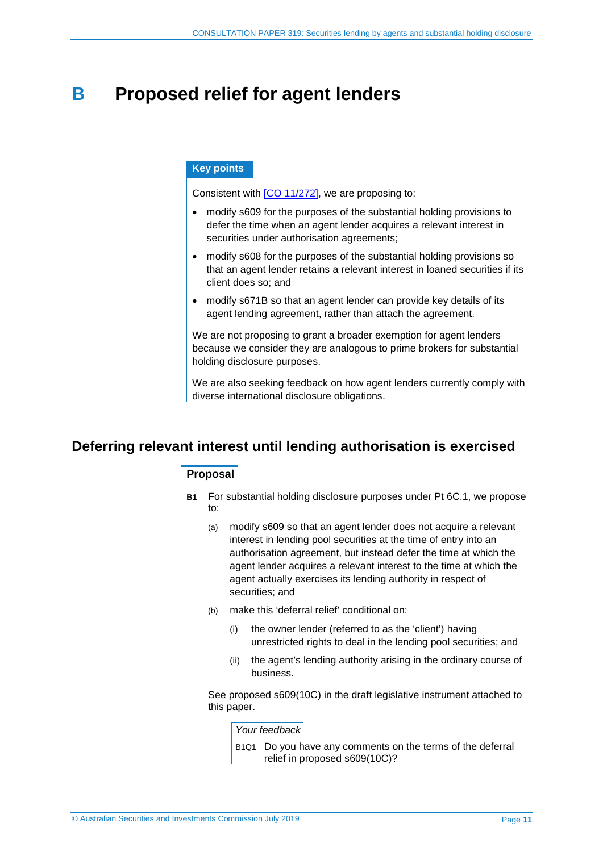## <span id="page-10-0"></span>**B Proposed relief for agent lenders**

#### **Key points**

Consistent with [\[CO 11/272\],](https://www.legislation.gov.au/Details/F2017C00227) we are proposing to:

- modify s609 for the purposes of the substantial holding provisions to defer the time when an agent lender acquires a relevant interest in securities under authorisation agreements;
- modify s608 for the purposes of the substantial holding provisions so that an agent lender retains a relevant interest in loaned securities if its client does so; and
- modify s671B so that an agent lender can provide key details of its agent lending agreement, rather than attach the agreement.

We are not proposing to grant a broader exemption for agent lenders because we consider they are analogous to prime brokers for substantial holding disclosure purposes.

We are also seeking feedback on how agent lenders currently comply with diverse international disclosure obligations.

### <span id="page-10-1"></span>**Deferring relevant interest until lending authorisation is exercised**

#### **Proposal**

- **B1** For substantial holding disclosure purposes under Pt 6C.1, we propose to:
	- (a) modify s609 so that an agent lender does not acquire a relevant interest in lending pool securities at the time of entry into an authorisation agreement, but instead defer the time at which the agent lender acquires a relevant interest to the time at which the agent actually exercises its lending authority in respect of securities; and
	- (b) make this 'deferral relief' conditional on:
		- (i) the owner lender (referred to as the 'client') having unrestricted rights to deal in the lending pool securities; and
		- (ii) the agent's lending authority arising in the ordinary course of business.

See proposed s609(10C) in the draft legislative instrument attached to this paper.

*Your feedback*

B1Q1 Do you have any comments on the terms of the deferral relief in proposed s609(10C)?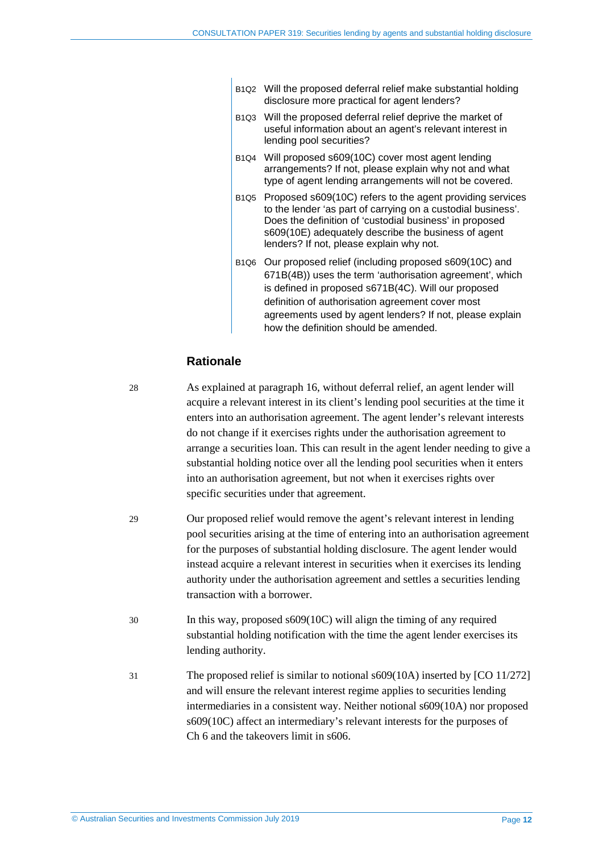- B1Q2 Will the proposed deferral relief make substantial holding disclosure more practical for agent lenders?
- B1Q3 Will the proposed deferral relief deprive the market of useful information about an agent's relevant interest in lending pool securities?
- B1Q4 Will proposed s609(10C) cover most agent lending arrangements? If not, please explain why not and what type of agent lending arrangements will not be covered.
- B1Q5 Proposed s609(10C) refers to the agent providing services to the lender 'as part of carrying on a custodial business'. Does the definition of 'custodial business' in proposed s609(10E) adequately describe the business of agent lenders? If not, please explain why not.
- B1Q6 Our proposed relief (including proposed s609(10C) and 671B(4B)) uses the term 'authorisation agreement', which is defined in proposed s671B(4C). Will our proposed definition of authorisation agreement cover most agreements used by agent lenders? If not, please explain how the definition should be amended.

#### **Rationale**

28 As explained at paragraph [16,](#page-8-0) without deferral relief, an agent lender will acquire a relevant interest in its client's lending pool securities at the time it enters into an authorisation agreement. The agent lender's relevant interests do not change if it exercises rights under the authorisation agreement to arrange a securities loan. This can result in the agent lender needing to give a substantial holding notice over all the lending pool securities when it enters into an authorisation agreement, but not when it exercises rights over specific securities under that agreement.

- 29 Our proposed relief would remove the agent's relevant interest in lending pool securities arising at the time of entering into an authorisation agreement for the purposes of substantial holding disclosure. The agent lender would instead acquire a relevant interest in securities when it exercises its lending authority under the authorisation agreement and settles a securities lending transaction with a borrower.
- 30 In this way, proposed s609(10C) will align the timing of any required substantial holding notification with the time the agent lender exercises its lending authority.
- 31 The proposed relief is similar to notional s609(10A) inserted by [CO 11/272] and will ensure the relevant interest regime applies to securities lending intermediaries in a consistent way. Neither notional s609(10A) nor proposed s609(10C) affect an intermediary's relevant interests for the purposes of Ch 6 and the takeovers limit in s606.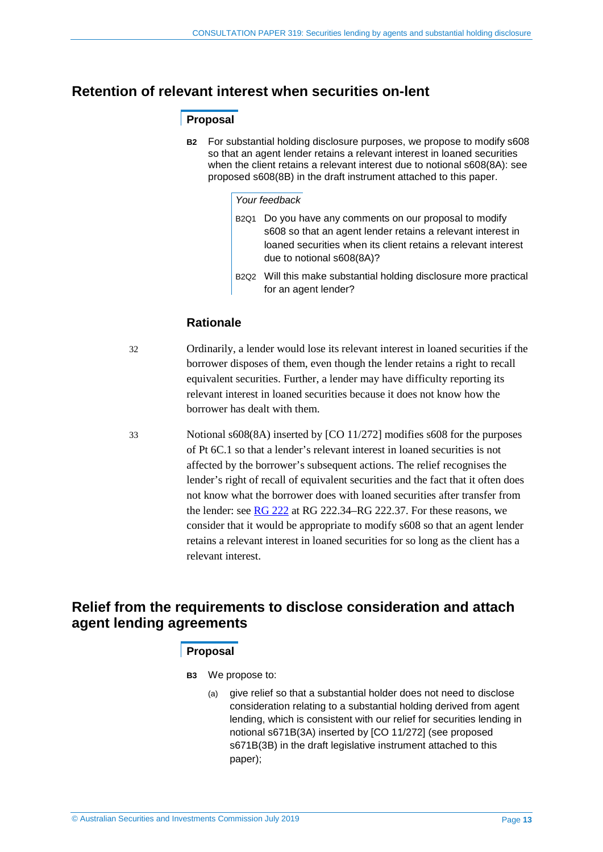### <span id="page-12-0"></span>**Retention of relevant interest when securities on-lent**

#### **Proposal**

**B2** For substantial holding disclosure purposes, we propose to modify s608 so that an agent lender retains a relevant interest in loaned securities when the client retains a relevant interest due to notional s608(8A): see proposed s608(8B) in the draft instrument attached to this paper.

#### *Your feedback*

- B2Q1 Do you have any comments on our proposal to modify s608 so that an agent lender retains a relevant interest in loaned securities when its client retains a relevant interest due to notional s608(8A)?
- B2Q2 Will this make substantial holding disclosure more practical for an agent lender?

#### **Rationale**

32 Ordinarily, a lender would lose its relevant interest in loaned securities if the borrower disposes of them, even though the lender retains a right to recall equivalent securities. Further, a lender may have difficulty reporting its relevant interest in loaned securities because it does not know how the borrower has dealt with them.

33 Notional s608(8A) inserted by [CO 11/272] modifies s608 for the purposes of Pt 6C.1 so that a lender's relevant interest in loaned securities is not affected by the borrower's subsequent actions. The relief recognises the lender's right of recall of equivalent securities and the fact that it often does not know what the borrower does with loaned securities after transfer from the lender: see [RG 222](https://asic.gov.au/regulatory-resources/find-a-document/regulatory-guides/rg-222-substantial-holding-disclosure-securities-lending-and-prime-broking/) at RG 222.34–RG 222.37. For these reasons, we consider that it would be appropriate to modify s608 so that an agent lender retains a relevant interest in loaned securities for so long as the client has a relevant interest.

### <span id="page-12-1"></span>**Relief from the requirements to disclose consideration and attach agent lending agreements**

#### **Proposal**

**B3** We propose to:

(a) give relief so that a substantial holder does not need to disclose consideration relating to a substantial holding derived from agent lending, which is consistent with our relief for securities lending in notional s671B(3A) inserted by [CO 11/272] (see proposed s671B(3B) in the draft legislative instrument attached to this paper);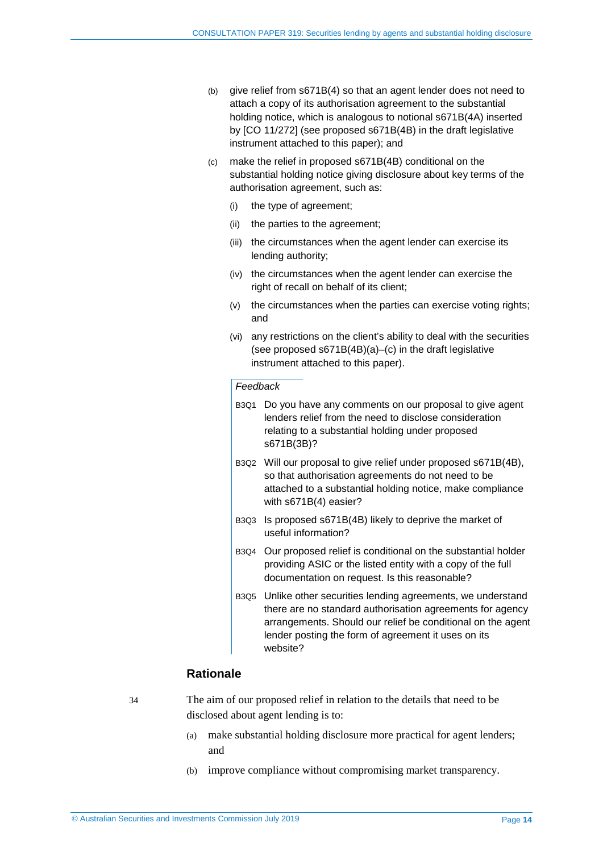- (b) give relief from s671B(4) so that an agent lender does not need to attach a copy of its authorisation agreement to the substantial holding notice, which is analogous to notional s671B(4A) inserted by [CO 11/272] (see proposed s671B(4B) in the draft legislative instrument attached to this paper); and
- (c) make the relief in proposed s671B(4B) conditional on the substantial holding notice giving disclosure about key terms of the authorisation agreement, such as:
	- (i) the type of agreement;
	- (ii) the parties to the agreement;
	- (iii) the circumstances when the agent lender can exercise its lending authority;
	- (iv) the circumstances when the agent lender can exercise the right of recall on behalf of its client;
	- (v) the circumstances when the parties can exercise voting rights; and
	- (vi) any restrictions on the client's ability to deal with the securities (see proposed s671B(4B)(a)–(c) in the draft legislative instrument attached to this paper).

#### *Feedback*

- B3Q1 Do you have any comments on our proposal to give agent lenders relief from the need to disclose consideration relating to a substantial holding under proposed s671B(3B)?
- B3Q2 Will our proposal to give relief under proposed s671B(4B), so that authorisation agreements do not need to be attached to a substantial holding notice, make compliance with s671B(4) easier?
- B3Q3 Is proposed s671B(4B) likely to deprive the market of useful information?
- B3Q4 Our proposed relief is conditional on the substantial holder providing ASIC or the listed entity with a copy of the full documentation on request. Is this reasonable?
- B3Q5 Unlike other securities lending agreements, we understand there are no standard authorisation agreements for agency arrangements. Should our relief be conditional on the agent lender posting the form of agreement it uses on its website?

#### **Rationale**

34 The aim of our proposed relief in relation to the details that need to be disclosed about agent lending is to:

- (a) make substantial holding disclosure more practical for agent lenders; and
- (b) improve compliance without compromising market transparency.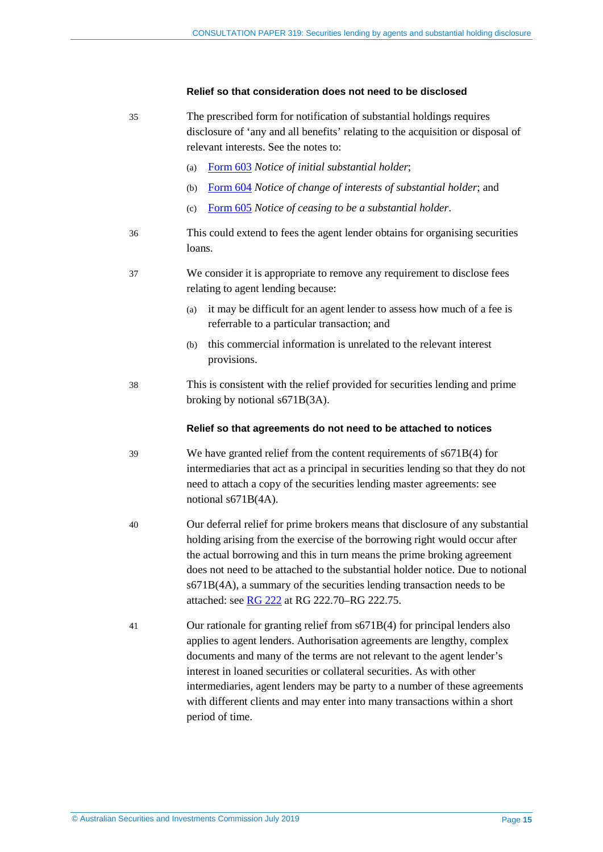#### **Relief so that consideration does not need to be disclosed**

- 35 The prescribed form for notification of substantial holdings requires disclosure of 'any and all benefits' relating to the acquisition or disposal of relevant interests. See the notes to:
	- (a) [Form 603](https://asic.gov.au/regulatory-resources/forms/forms-folder/603-notice-of-initial-substantial-holder/) *Notice of initial substantial holder*;
	- (b) [Form](https://asic.gov.au/regulatory-resources/forms/forms-folder/604-notice-of-change-of-interests-of-substantial-holder/) 604 *Notice of change of interests of substantial holder*; and
	- (c) [Form 605](https://asic.gov.au/regulatory-resources/forms/forms-folder/605-notice-of-ceasing-to-be-a-substantial-holder/) *Notice of ceasing to be a substantial holder*.
- 36 This could extend to fees the agent lender obtains for organising securities loans.
- 37 We consider it is appropriate to remove any requirement to disclose fees relating to agent lending because:
	- (a) it may be difficult for an agent lender to assess how much of a fee is referrable to a particular transaction; and
	- (b) this commercial information is unrelated to the relevant interest provisions.
- 38 This is consistent with the relief provided for securities lending and prime broking by notional s671B(3A).

#### **Relief so that agreements do not need to be attached to notices**

- 39 We have granted relief from the content requirements of s671B(4) for intermediaries that act as a principal in securities lending so that they do not need to attach a copy of the securities lending master agreements: see notional s671B(4A).
- 40 Our deferral relief for prime brokers means that disclosure of any substantial holding arising from the exercise of the borrowing right would occur after the actual borrowing and this in turn means the prime broking agreement does not need to be attached to the substantial holder notice. Due to notional s671B(4A), a summary of the securities lending transaction needs to be attached: see [RG 222](https://asic.gov.au/regulatory-resources/find-a-document/regulatory-guides/rg-222-substantial-holding-disclosure-securities-lending-and-prime-broking/) at RG 222.70–RG 222.75.
- 41 Our rationale for granting relief from s671B(4) for principal lenders also applies to agent lenders. Authorisation agreements are lengthy, complex documents and many of the terms are not relevant to the agent lender's interest in loaned securities or collateral securities. As with other intermediaries, agent lenders may be party to a number of these agreements with different clients and may enter into many transactions within a short period of time.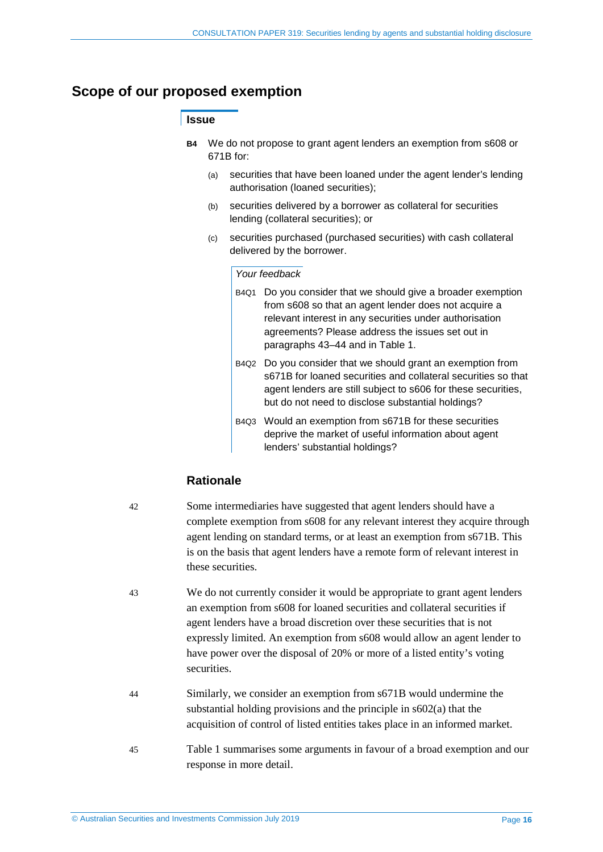### <span id="page-15-0"></span>**Scope of our proposed exemption**

#### **Issue**

- **B4** We do not propose to grant agent lenders an exemption from s608 or 671B for:
	- (a) securities that have been loaned under the agent lender's lending authorisation (loaned securities);
	- (b) securities delivered by a borrower as collateral for securities lending (collateral securities); or
	- (c) securities purchased (purchased securities) with cash collateral delivered by the borrower.

#### *Your feedback*

- B4Q1 Do you consider that we should give a broader exemption from s608 so that an agent lender does not acquire a relevant interest in any securities under authorisation agreements? Please address the issues set out in paragraphs [43–](#page-15-1)[44](#page-15-2) and in [Table 1.](#page-16-0)
- B4Q2 Do you consider that we should grant an exemption from s671B for loaned securities and collateral securities so that agent lenders are still subject to s606 for these securities, but do not need to disclose substantial holdings?
- B4Q3 Would an exemption from s671B for these securities deprive the market of useful information about agent lenders' substantial holdings?

#### **Rationale**

42 Some intermediaries have suggested that agent lenders should have a complete exemption from s608 for any relevant interest they acquire through agent lending on standard terms, or at least an exemption from s671B. This is on the basis that agent lenders have a remote form of relevant interest in these securities.

- <span id="page-15-1"></span>43 We do not currently consider it would be appropriate to grant agent lenders an exemption from s608 for loaned securities and collateral securities if agent lenders have a broad discretion over these securities that is not expressly limited. An exemption from s608 would allow an agent lender to have power over the disposal of 20% or more of a listed entity's voting securities.
- <span id="page-15-2"></span>44 Similarly, we consider an exemption from s671B would undermine the substantial holding provisions and the principle in s602(a) that the acquisition of control of listed entities takes place in an informed market.
- 45 [Table 1](#page-16-0) summarises some arguments in favour of a broad exemption and our response in more detail.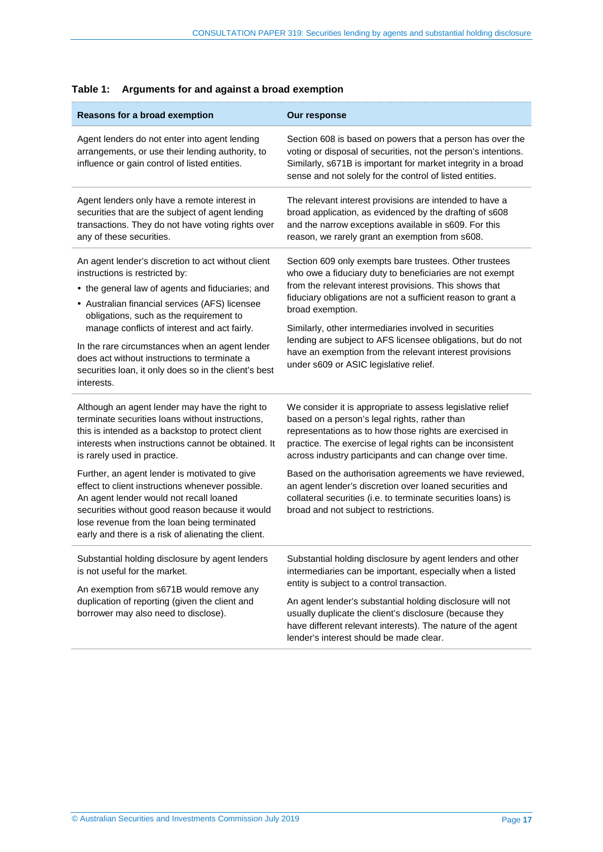| Reasons for a broad exemption                                                                                                                                                                                                                                                                                                                                                                                                                                                                                                                        | Our response                                                                                                                                                                                                                                                                                                                                                                                                                                                                                                                    |  |  |  |
|------------------------------------------------------------------------------------------------------------------------------------------------------------------------------------------------------------------------------------------------------------------------------------------------------------------------------------------------------------------------------------------------------------------------------------------------------------------------------------------------------------------------------------------------------|---------------------------------------------------------------------------------------------------------------------------------------------------------------------------------------------------------------------------------------------------------------------------------------------------------------------------------------------------------------------------------------------------------------------------------------------------------------------------------------------------------------------------------|--|--|--|
| Agent lenders do not enter into agent lending<br>arrangements, or use their lending authority, to<br>influence or gain control of listed entities.                                                                                                                                                                                                                                                                                                                                                                                                   | Section 608 is based on powers that a person has over the<br>voting or disposal of securities, not the person's intentions.<br>Similarly, s671B is important for market integrity in a broad<br>sense and not solely for the control of listed entities.                                                                                                                                                                                                                                                                        |  |  |  |
| Agent lenders only have a remote interest in<br>securities that are the subject of agent lending<br>transactions. They do not have voting rights over<br>any of these securities.                                                                                                                                                                                                                                                                                                                                                                    | The relevant interest provisions are intended to have a<br>broad application, as evidenced by the drafting of s608<br>and the narrow exceptions available in s609. For this<br>reason, we rarely grant an exemption from s608.                                                                                                                                                                                                                                                                                                  |  |  |  |
| An agent lender's discretion to act without client<br>instructions is restricted by:<br>• the general law of agents and fiduciaries; and<br>• Australian financial services (AFS) licensee<br>obligations, such as the requirement to<br>manage conflicts of interest and act fairly.<br>In the rare circumstances when an agent lender<br>does act without instructions to terminate a<br>securities loan, it only does so in the client's best<br>interests.                                                                                       | Section 609 only exempts bare trustees. Other trustees<br>who owe a fiduciary duty to beneficiaries are not exempt<br>from the relevant interest provisions. This shows that<br>fiduciary obligations are not a sufficient reason to grant a<br>broad exemption.<br>Similarly, other intermediaries involved in securities<br>lending are subject to AFS licensee obligations, but do not<br>have an exemption from the relevant interest provisions<br>under s609 or ASIC legislative relief.                                  |  |  |  |
| Although an agent lender may have the right to<br>terminate securities loans without instructions,<br>this is intended as a backstop to protect client<br>interests when instructions cannot be obtained. It<br>is rarely used in practice.<br>Further, an agent lender is motivated to give<br>effect to client instructions whenever possible.<br>An agent lender would not recall loaned<br>securities without good reason because it would<br>lose revenue from the loan being terminated<br>early and there is a risk of alienating the client. | We consider it is appropriate to assess legislative relief<br>based on a person's legal rights, rather than<br>representations as to how those rights are exercised in<br>practice. The exercise of legal rights can be inconsistent<br>across industry participants and can change over time.<br>Based on the authorisation agreements we have reviewed,<br>an agent lender's discretion over loaned securities and<br>collateral securities (i.e. to terminate securities loans) is<br>broad and not subject to restrictions. |  |  |  |
| Substantial holding disclosure by agent lenders<br>is not useful for the market.<br>An exemption from s671B would remove any<br>duplication of reporting (given the client and<br>borrower may also need to disclose).                                                                                                                                                                                                                                                                                                                               | Substantial holding disclosure by agent lenders and other<br>intermediaries can be important, especially when a listed<br>entity is subject to a control transaction.<br>An agent lender's substantial holding disclosure will not<br>usually duplicate the client's disclosure (because they<br>have different relevant interests). The nature of the agent<br>lender's interest should be made clear.                                                                                                                         |  |  |  |

#### <span id="page-16-0"></span>**Table 1: Arguments for and against a broad exemption**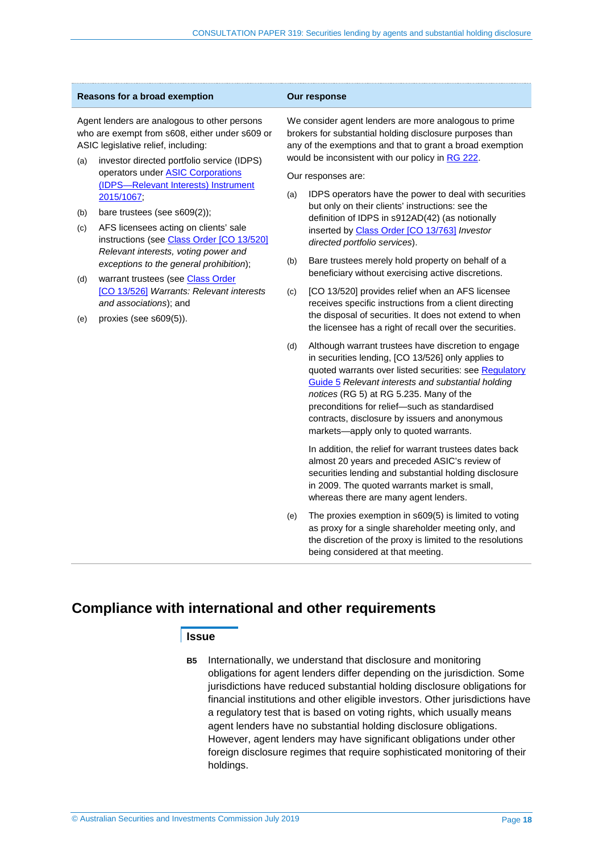| Reasons for a broad exemption                                                                                                                                                              |                                                                                                                      | Our response                                                                                                                                                                                                                       |                                                                                                                                                                                                                                                                                                                                                                                                                   |  |  |
|--------------------------------------------------------------------------------------------------------------------------------------------------------------------------------------------|----------------------------------------------------------------------------------------------------------------------|------------------------------------------------------------------------------------------------------------------------------------------------------------------------------------------------------------------------------------|-------------------------------------------------------------------------------------------------------------------------------------------------------------------------------------------------------------------------------------------------------------------------------------------------------------------------------------------------------------------------------------------------------------------|--|--|
| Agent lenders are analogous to other persons<br>who are exempt from s608, either under s609 or<br>ASIC legislative relief, including:<br>investor directed portfolio service (IDPS)<br>(a) |                                                                                                                      | We consider agent lenders are more analogous to prime<br>brokers for substantial holding disclosure purposes than<br>any of the exemptions and that to grant a broad exemption<br>would be inconsistent with our policy in RG 222. |                                                                                                                                                                                                                                                                                                                                                                                                                   |  |  |
|                                                                                                                                                                                            | operators under <b>ASIC Corporations</b><br>(IDPS-Relevant Interests) Instrument<br>2015/1067;                       |                                                                                                                                                                                                                                    | Our responses are:<br>IDPS operators have the power to deal with securities<br>(a)                                                                                                                                                                                                                                                                                                                                |  |  |
| (b)<br>(c)                                                                                                                                                                                 | bare trustees (see s609(2));<br>AFS licensees acting on clients' sale<br>instructions (see Class Order [CO 13/520]   |                                                                                                                                                                                                                                    | but only on their clients' instructions: see the<br>definition of IDPS in s912AD(42) (as notionally<br>inserted by Class Order [CO 13/763] Investor<br>directed portfolio services).                                                                                                                                                                                                                              |  |  |
|                                                                                                                                                                                            | Relevant interests, voting power and<br>exceptions to the general prohibition);<br>warrant trustees (see Class Order | (b)                                                                                                                                                                                                                                | Bare trustees merely hold property on behalf of a<br>beneficiary without exercising active discretions.                                                                                                                                                                                                                                                                                                           |  |  |
| (d)<br>(e)                                                                                                                                                                                 | [CO 13/526] Warrants: Relevant interests<br>and associations); and<br>proxies (see s609(5)).                         | (c)                                                                                                                                                                                                                                | [CO 13/520] provides relief when an AFS licensee<br>receives specific instructions from a client directing<br>the disposal of securities. It does not extend to when<br>the licensee has a right of recall over the securities.                                                                                                                                                                                   |  |  |
|                                                                                                                                                                                            |                                                                                                                      | (d)                                                                                                                                                                                                                                | Although warrant trustees have discretion to engage<br>in securities lending, [CO 13/526] only applies to<br>quoted warrants over listed securities: see Regulatory<br>Guide 5 Relevant interests and substantial holding<br>notices (RG 5) at RG 5.235. Many of the<br>preconditions for relief-such as standardised<br>contracts, disclosure by issuers and anonymous<br>markets-apply only to quoted warrants. |  |  |
|                                                                                                                                                                                            |                                                                                                                      |                                                                                                                                                                                                                                    | In addition, the relief for warrant trustees dates back<br>almost 20 years and preceded ASIC's review of<br>securities lending and substantial holding disclosure<br>in 2009. The quoted warrants market is small,<br>whereas there are many agent lenders.                                                                                                                                                       |  |  |
|                                                                                                                                                                                            |                                                                                                                      | (e)                                                                                                                                                                                                                                | The proxies exemption in s609(5) is limited to voting<br>as proxy for a single shareholder meeting only, and<br>the discretion of the proxy is limited to the resolutions<br>being considered at that meeting.                                                                                                                                                                                                    |  |  |

## <span id="page-17-0"></span>**Compliance with international and other requirements**

#### **Issue**

**B5** Internationally, we understand that disclosure and monitoring obligations for agent lenders differ depending on the jurisdiction. Some jurisdictions have reduced substantial holding disclosure obligations for financial institutions and other eligible investors. Other jurisdictions have a regulatory test that is based on voting rights, which usually means agent lenders have no substantial holding disclosure obligations. However, agent lenders may have significant obligations under other foreign disclosure regimes that require sophisticated monitoring of their holdings.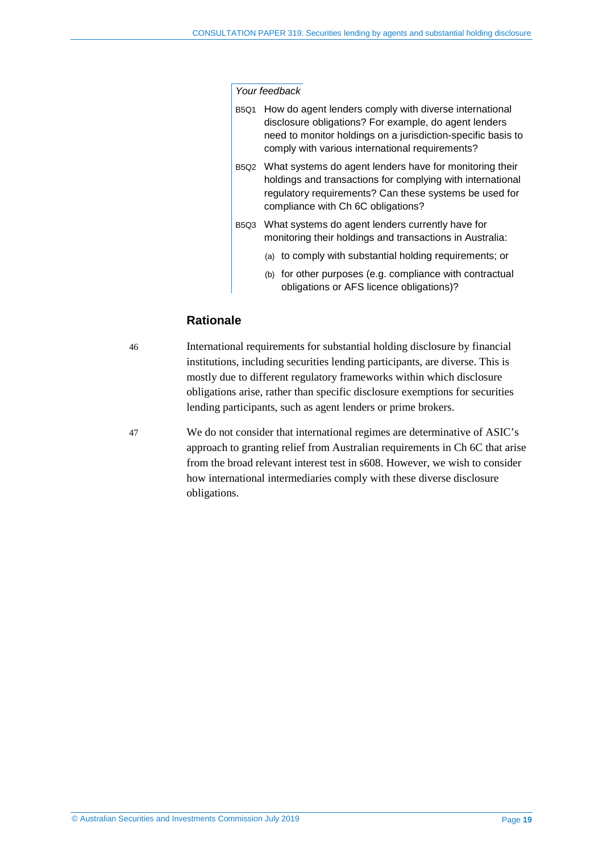#### *Your feedback*

- B5Q1 How do agent lenders comply with diverse international disclosure obligations? For example, do agent lenders need to monitor holdings on a jurisdiction-specific basis to comply with various international requirements?
- B5Q2 What systems do agent lenders have for monitoring their holdings and transactions for complying with international regulatory requirements? Can these systems be used for compliance with Ch 6C obligations?
- B5Q3 What systems do agent lenders currently have for monitoring their holdings and transactions in Australia:
	- (a) to comply with substantial holding requirements; or
	- (b) for other purposes (e.g. compliance with contractual obligations or AFS licence obligations)?

#### **Rationale**

46 International requirements for substantial holding disclosure by financial institutions, including securities lending participants, are diverse. This is mostly due to different regulatory frameworks within which disclosure obligations arise, rather than specific disclosure exemptions for securities lending participants, such as agent lenders or prime brokers.

47 We do not consider that international regimes are determinative of ASIC's approach to granting relief from Australian requirements in Ch 6C that arise from the broad relevant interest test in s608. However, we wish to consider how international intermediaries comply with these diverse disclosure obligations.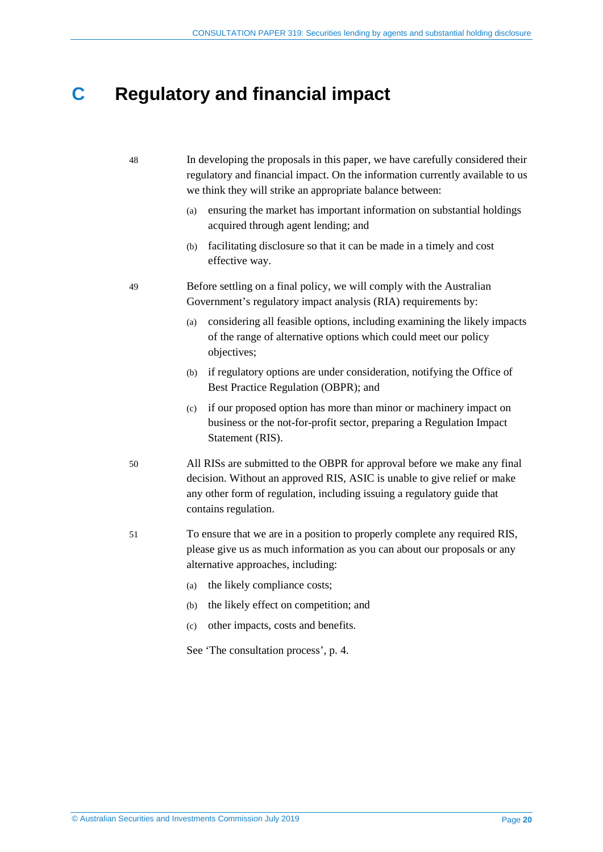## <span id="page-19-0"></span>**C Regulatory and financial impact**

#### 48 In developing the proposals in this paper, we have carefully considered their regulatory and financial impact. On the information currently available to us we think they will strike an appropriate balance between:

- (a) ensuring the market has important information on substantial holdings acquired through agent lending; and
- (b) facilitating disclosure so that it can be made in a timely and cost effective way.
- 49 Before settling on a final policy, we will comply with the Australian Government's regulatory impact analysis (RIA) requirements by:
	- (a) considering all feasible options, including examining the likely impacts of the range of alternative options which could meet our policy objectives;
	- (b) if regulatory options are under consideration, notifying the Office of Best Practice Regulation (OBPR); and
	- (c) if our proposed option has more than minor or machinery impact on business or the not-for-profit sector, preparing a Regulation Impact Statement (RIS).
- 50 All RISs are submitted to the OBPR for approval before we make any final decision. Without an approved RIS, ASIC is unable to give relief or make any other form of regulation, including issuing a regulatory guide that contains regulation.
- 51 To ensure that we are in a position to properly complete any required RIS, please give us as much information as you can about our proposals or any alternative approaches, including:
	- (a) the likely compliance costs;
	- (b) the likely effect on competition; and
	- (c) other impacts, costs and benefits.

See 'The consultation process', p. [4.](#page-3-1)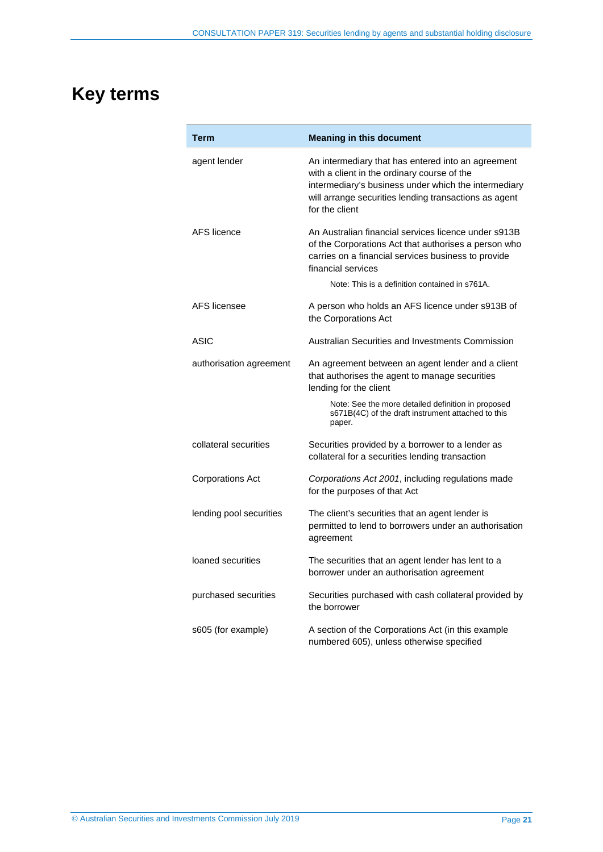# <span id="page-20-0"></span>**Key terms**

| Term                    | <b>Meaning in this document</b>                                                                                                                                                                                                      |  |  |  |
|-------------------------|--------------------------------------------------------------------------------------------------------------------------------------------------------------------------------------------------------------------------------------|--|--|--|
| agent lender            | An intermediary that has entered into an agreement<br>with a client in the ordinary course of the<br>intermediary's business under which the intermediary<br>will arrange securities lending transactions as agent<br>for the client |  |  |  |
| <b>AFS</b> licence      | An Australian financial services licence under s913B<br>of the Corporations Act that authorises a person who<br>carries on a financial services business to provide<br>financial services                                            |  |  |  |
|                         | Note: This is a definition contained in s761A.                                                                                                                                                                                       |  |  |  |
| AFS licensee            | A person who holds an AFS licence under s913B of<br>the Corporations Act                                                                                                                                                             |  |  |  |
| <b>ASIC</b>             | Australian Securities and Investments Commission                                                                                                                                                                                     |  |  |  |
| authorisation agreement | An agreement between an agent lender and a client<br>that authorises the agent to manage securities<br>lending for the client                                                                                                        |  |  |  |
|                         | Note: See the more detailed definition in proposed<br>s671B(4C) of the draft instrument attached to this<br>paper.                                                                                                                   |  |  |  |
| collateral securities   | Securities provided by a borrower to a lender as<br>collateral for a securities lending transaction                                                                                                                                  |  |  |  |
| <b>Corporations Act</b> | Corporations Act 2001, including regulations made<br>for the purposes of that Act                                                                                                                                                    |  |  |  |
| lending pool securities | The client's securities that an agent lender is<br>permitted to lend to borrowers under an authorisation<br>agreement                                                                                                                |  |  |  |
| loaned securities       | The securities that an agent lender has lent to a<br>borrower under an authorisation agreement                                                                                                                                       |  |  |  |
| purchased securities    | Securities purchased with cash collateral provided by<br>the borrower                                                                                                                                                                |  |  |  |
| s605 (for example)      | A section of the Corporations Act (in this example<br>numbered 605), unless otherwise specified                                                                                                                                      |  |  |  |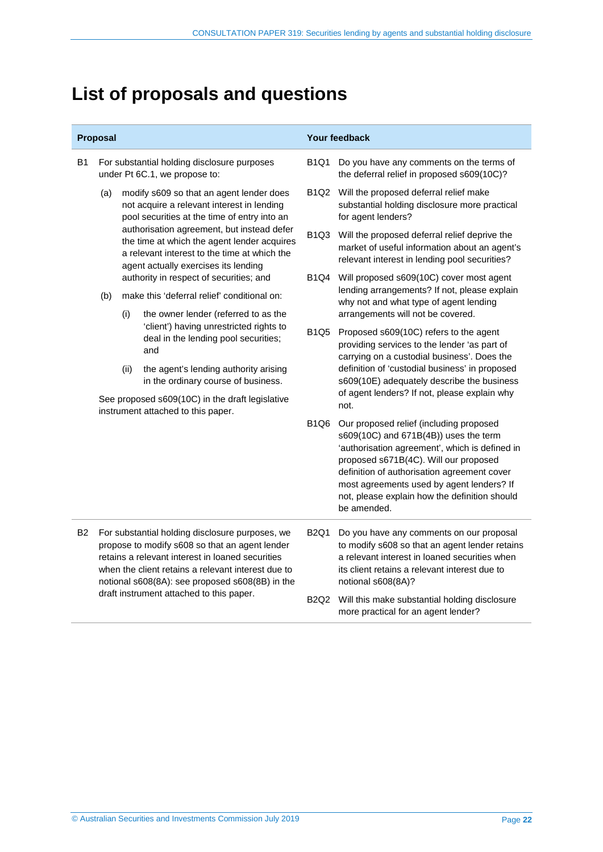# <span id="page-21-0"></span>**List of proposals and questions**

| Proposal  |                                                                                                                                                                                                                                                                                                            |                                                                                                                                                                                                                                                                                                                                                                        |                                                                                        | Your feedback                                                                                                                                                                                                                                                                                                                           |                                                                                                                                                                                                                    |
|-----------|------------------------------------------------------------------------------------------------------------------------------------------------------------------------------------------------------------------------------------------------------------------------------------------------------------|------------------------------------------------------------------------------------------------------------------------------------------------------------------------------------------------------------------------------------------------------------------------------------------------------------------------------------------------------------------------|----------------------------------------------------------------------------------------|-----------------------------------------------------------------------------------------------------------------------------------------------------------------------------------------------------------------------------------------------------------------------------------------------------------------------------------------|--------------------------------------------------------------------------------------------------------------------------------------------------------------------------------------------------------------------|
| B1        | For substantial holding disclosure purposes<br>under Pt 6C.1, we propose to:                                                                                                                                                                                                                               |                                                                                                                                                                                                                                                                                                                                                                        | <b>B1Q1</b>                                                                            | Do you have any comments on the terms of<br>the deferral relief in proposed s609(10C)?                                                                                                                                                                                                                                                  |                                                                                                                                                                                                                    |
|           | (a)                                                                                                                                                                                                                                                                                                        | modify s609 so that an agent lender does<br>not acquire a relevant interest in lending<br>pool securities at the time of entry into an<br>authorisation agreement, but instead defer<br>the time at which the agent lender acquires<br>a relevant interest to the time at which the<br>agent actually exercises its lending<br>authority in respect of securities; and |                                                                                        |                                                                                                                                                                                                                                                                                                                                         | B1Q2 Will the proposed deferral relief make<br>substantial holding disclosure more practical<br>for agent lenders?                                                                                                 |
|           |                                                                                                                                                                                                                                                                                                            |                                                                                                                                                                                                                                                                                                                                                                        |                                                                                        | B <sub>1</sub> Q <sub>3</sub>                                                                                                                                                                                                                                                                                                           | Will the proposed deferral relief deprive the<br>market of useful information about an agent's<br>relevant interest in lending pool securities?                                                                    |
|           |                                                                                                                                                                                                                                                                                                            |                                                                                                                                                                                                                                                                                                                                                                        |                                                                                        | B1Q4                                                                                                                                                                                                                                                                                                                                    | Will proposed s609(10C) cover most agent                                                                                                                                                                           |
|           | (b)                                                                                                                                                                                                                                                                                                        | make this 'deferral relief' conditional on:                                                                                                                                                                                                                                                                                                                            |                                                                                        |                                                                                                                                                                                                                                                                                                                                         | lending arrangements? If not, please explain<br>why not and what type of agent lending                                                                                                                             |
|           |                                                                                                                                                                                                                                                                                                            | (i)                                                                                                                                                                                                                                                                                                                                                                    | the owner lender (referred to as the                                                   |                                                                                                                                                                                                                                                                                                                                         | arrangements will not be covered.                                                                                                                                                                                  |
|           |                                                                                                                                                                                                                                                                                                            |                                                                                                                                                                                                                                                                                                                                                                        | 'client') having unrestricted rights to<br>deal in the lending pool securities;<br>and | <b>B1Q5</b>                                                                                                                                                                                                                                                                                                                             | Proposed s609(10C) refers to the agent<br>providing services to the lender 'as part of<br>carrying on a custodial business'. Does the                                                                              |
|           |                                                                                                                                                                                                                                                                                                            | (ii)                                                                                                                                                                                                                                                                                                                                                                   | the agent's lending authority arising<br>in the ordinary course of business.           |                                                                                                                                                                                                                                                                                                                                         | definition of 'custodial business' in proposed<br>s609(10E) adequately describe the business                                                                                                                       |
|           |                                                                                                                                                                                                                                                                                                            |                                                                                                                                                                                                                                                                                                                                                                        | See proposed s609(10C) in the draft legislative<br>instrument attached to this paper.  |                                                                                                                                                                                                                                                                                                                                         | of agent lenders? If not, please explain why<br>not.                                                                                                                                                               |
|           |                                                                                                                                                                                                                                                                                                            |                                                                                                                                                                                                                                                                                                                                                                        | <b>B1Q6</b>                                                                            | Our proposed relief (including proposed<br>s609(10C) and 671B(4B)) uses the term<br>'authorisation agreement', which is defined in<br>proposed s671B(4C). Will our proposed<br>definition of authorisation agreement cover<br>most agreements used by agent lenders? If<br>not, please explain how the definition should<br>be amended. |                                                                                                                                                                                                                    |
| <b>B2</b> | For substantial holding disclosure purposes, we<br>propose to modify s608 so that an agent lender<br>retains a relevant interest in loaned securities<br>when the client retains a relevant interest due to<br>notional s608(8A): see proposed s608(8B) in the<br>draft instrument attached to this paper. |                                                                                                                                                                                                                                                                                                                                                                        |                                                                                        | <b>B2Q1</b>                                                                                                                                                                                                                                                                                                                             | Do you have any comments on our proposal<br>to modify s608 so that an agent lender retains<br>a relevant interest in loaned securities when<br>its client retains a relevant interest due to<br>notional s608(8A)? |
|           |                                                                                                                                                                                                                                                                                                            |                                                                                                                                                                                                                                                                                                                                                                        |                                                                                        | <b>B2Q2</b>                                                                                                                                                                                                                                                                                                                             | Will this make substantial holding disclosure<br>more practical for an agent lender?                                                                                                                               |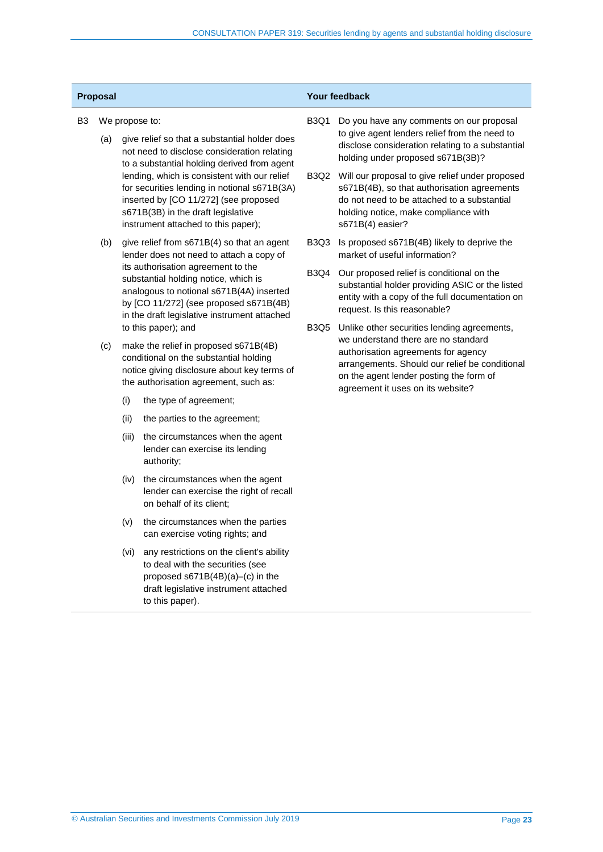| B <sub>3</sub> |     |                                                                                                                                                                         | We propose to:                                                                                                                                                                                                     | <b>B3Q1</b>                                                                                                                            | Do you have any comments on our proposal                                                                                                                                                                       |
|----------------|-----|-------------------------------------------------------------------------------------------------------------------------------------------------------------------------|--------------------------------------------------------------------------------------------------------------------------------------------------------------------------------------------------------------------|----------------------------------------------------------------------------------------------------------------------------------------|----------------------------------------------------------------------------------------------------------------------------------------------------------------------------------------------------------------|
|                | (a) | give relief so that a substantial holder does<br>not need to disclose consideration relating<br>to a substantial holding derived from agent                             |                                                                                                                                                                                                                    | to give agent lenders relief from the need to<br>disclose consideration relating to a substantial<br>holding under proposed s671B(3B)? |                                                                                                                                                                                                                |
|                |     |                                                                                                                                                                         | lending, which is consistent with our relief<br>for securities lending in notional s671B(3A)<br>inserted by [CO 11/272] (see proposed<br>s671B(3B) in the draft legislative<br>instrument attached to this paper); |                                                                                                                                        | B3Q2 Will our proposal to give relief under proposed<br>s671B(4B), so that authorisation agreements<br>do not need to be attached to a substantial<br>holding notice, make compliance with<br>s671B(4) easier? |
|                | (b) | give relief from s671B(4) so that an agent<br>lender does not need to attach a copy of                                                                                  |                                                                                                                                                                                                                    | B3Q3                                                                                                                                   | Is proposed s671B(4B) likely to deprive the<br>market of useful information?                                                                                                                                   |
|                |     |                                                                                                                                                                         | its authorisation agreement to the<br>substantial holding notice, which is<br>analogous to notional s671B(4A) inserted<br>by [CO 11/272] (see proposed s671B(4B)<br>in the draft legislative instrument attached   |                                                                                                                                        | B3Q4<br>Our proposed relief is conditional on the<br>substantial holder providing ASIC or the listed<br>entity with a copy of the full documentation on<br>request. Is this reasonable?                        |
|                |     |                                                                                                                                                                         | to this paper); and                                                                                                                                                                                                | B3Q5                                                                                                                                   | Unlike other securities lending agreements,                                                                                                                                                                    |
|                | (c) | make the relief in proposed s671B(4B)<br>conditional on the substantial holding<br>notice giving disclosure about key terms of<br>the authorisation agreement, such as: |                                                                                                                                                                                                                    |                                                                                                                                        | we understand there are no standard<br>authorisation agreements for agency<br>arrangements. Should our relief be conditional<br>on the agent lender posting the form of<br>agreement it uses on its website?   |
|                |     | (i)                                                                                                                                                                     | the type of agreement;                                                                                                                                                                                             |                                                                                                                                        |                                                                                                                                                                                                                |
|                |     | (ii)                                                                                                                                                                    | the parties to the agreement;                                                                                                                                                                                      |                                                                                                                                        |                                                                                                                                                                                                                |
|                |     | (iii)                                                                                                                                                                   | the circumstances when the agent<br>lender can exercise its lending<br>authority;                                                                                                                                  |                                                                                                                                        |                                                                                                                                                                                                                |
|                |     | (iv)                                                                                                                                                                    | the circumstances when the agent<br>lender can exercise the right of recall<br>on behalf of its client;                                                                                                            |                                                                                                                                        |                                                                                                                                                                                                                |
|                |     | (v)                                                                                                                                                                     | the circumstances when the parties<br>can exercise voting rights; and                                                                                                                                              |                                                                                                                                        |                                                                                                                                                                                                                |
|                |     | (vi)                                                                                                                                                                    | any restrictions on the client's ability                                                                                                                                                                           |                                                                                                                                        |                                                                                                                                                                                                                |

**Proposal Your feedback**

to deal with the securities (see proposed s671B(4B)(a)–(c) in the draft legislative instrument attached

to this paper).